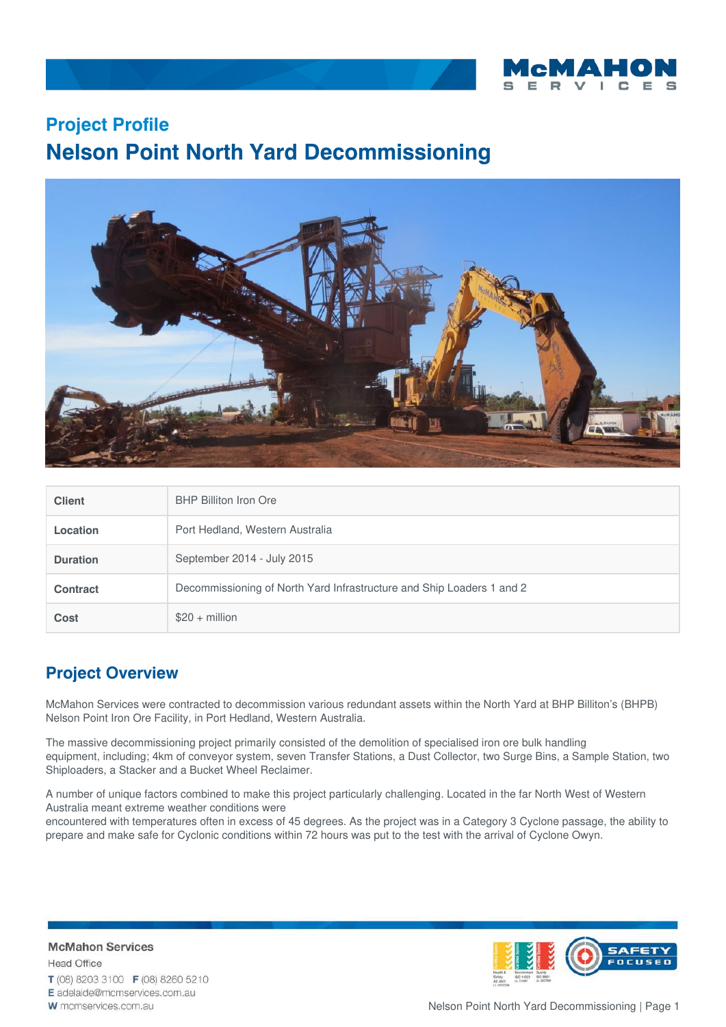

## **Project Profile Nelson Point North Yard Decommissioning**



| <b>Client</b>   | <b>BHP Billiton Iron Ore</b>                                          |
|-----------------|-----------------------------------------------------------------------|
| Location        | Port Hedland, Western Australia                                       |
| <b>Duration</b> | September 2014 - July 2015                                            |
| Contract        | Decommissioning of North Yard Infrastructure and Ship Loaders 1 and 2 |
| <b>Cost</b>     | $$20 + million$                                                       |

## **Project Overview**

McMahon Services were contracted to decommission various redundant assets within the North Yard at BHP Billiton's (BHPB) Nelson Point Iron Ore Facility, in Port Hedland, Western Australia.

The massive decommissioning project primarily consisted of the demolition of specialised iron ore bulk handling equipment, including; 4km of conveyor system, seven Transfer Stations, a Dust Collector, two Surge Bins, a Sample Station, two Shiploaders, a Stacker and a Bucket Wheel Reclaimer.

A number of unique factors combined to make this project particularly challenging. Located in the far North West of Western Australia meant extreme weather conditions were

encountered with temperatures often in excess of 45 degrees. As the project was in a Category 3 Cyclone passage, the ability to prepare and make safe for Cyclonic conditions within 72 hours was put to the test with the arrival of Cyclone Owyn.

**McMahon Services Head Office** T (08) 8203 3100 F (08) 8260 5210 E adelaide@mcmservices.com.au W mcmservices.com.au

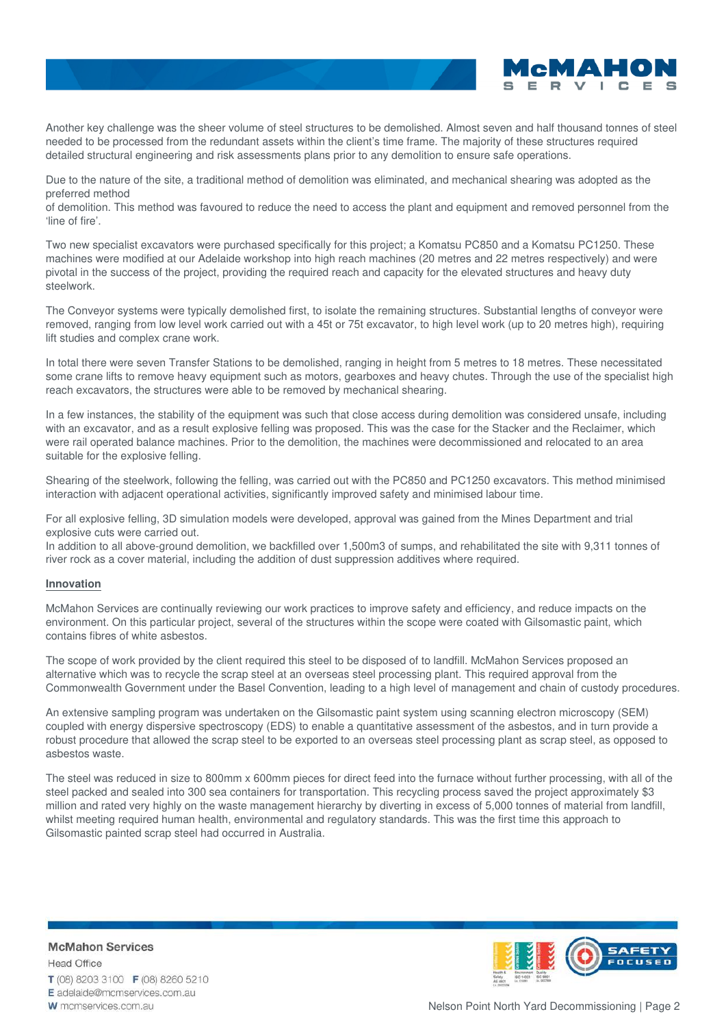

Another key challenge was the sheer volume of steel structures to be demolished. Almost seven and half thousand tonnes of steel needed to be processed from the redundant assets within the client's time frame. The majority of these structures required detailed structural engineering and risk assessments plans prior to any demolition to ensure safe operations.

Due to the nature of the site, a traditional method of demolition was eliminated, and mechanical shearing was adopted as the preferred method

of demolition. This method was favoured to reduce the need to access the plant and equipment and removed personnel from the 'line of fire'.

Two new specialist excavators were purchased specifically for this project; a Komatsu PC850 and a Komatsu PC1250. These machines were modified at our Adelaide workshop into high reach machines (20 metres and 22 metres respectively) and were pivotal in the success of the project, providing the required reach and capacity for the elevated structures and heavy duty steelwork.

The Conveyor systems were typically demolished first, to isolate the remaining structures. Substantial lengths of conveyor were removed, ranging from low level work carried out with a 45t or 75t excavator, to high level work (up to 20 metres high), requiring lift studies and complex crane work.

In total there were seven Transfer Stations to be demolished, ranging in height from 5 metres to 18 metres. These necessitated some crane lifts to remove heavy equipment such as motors, gearboxes and heavy chutes. Through the use of the specialist high reach excavators, the structures were able to be removed by mechanical shearing.

In a few instances, the stability of the equipment was such that close access during demolition was considered unsafe, including with an excavator, and as a result explosive felling was proposed. This was the case for the Stacker and the Reclaimer, which were rail operated balance machines. Prior to the demolition, the machines were decommissioned and relocated to an area suitable for the explosive felling.

Shearing of the steelwork, following the felling, was carried out with the PC850 and PC1250 excavators. This method minimised interaction with adjacent operational activities, significantly improved safety and minimised labour time.

For all explosive felling, 3D simulation models were developed, approval was gained from the Mines Department and trial explosive cuts were carried out.

In addition to all above-ground demolition, we backfilled over 1,500m3 of sumps, and rehabilitated the site with 9,311 tonnes of river rock as a cover material, including the addition of dust suppression additives where required.

## **Innovation**

McMahon Services are continually reviewing our work practices to improve safety and efficiency, and reduce impacts on the environment. On this particular project, several of the structures within the scope were coated with Gilsomastic paint, which contains fibres of white asbestos.

The scope of work provided by the client required this steel to be disposed of to landfill. McMahon Services proposed an alternative which was to recycle the scrap steel at an overseas steel processing plant. This required approval from the Commonwealth Government under the Basel Convention, leading to a high level of management and chain of custody procedures.

An extensive sampling program was undertaken on the Gilsomastic paint system using scanning electron microscopy (SEM) coupled with energy dispersive spectroscopy (EDS) to enable a quantitative assessment of the asbestos, and in turn provide a robust procedure that allowed the scrap steel to be exported to an overseas steel processing plant as scrap steel, as opposed to asbestos waste.

The steel was reduced in size to 800mm x 600mm pieces for direct feed into the furnace without further processing, with all of the steel packed and sealed into 300 sea containers for transportation. This recycling process saved the project approximately \$3 million and rated very highly on the waste management hierarchy by diverting in excess of 5,000 tonnes of material from landfill, whilst meeting required human health, environmental and regulatory standards. This was the first time this approach to Gilsomastic painted scrap steel had occurred in Australia.

SAFET

**McMahon Services Head Office** T (08) 8203 3100 F (08) 8260 5210 E adelaide@mcmservices.com.au W mcmservices.com.au